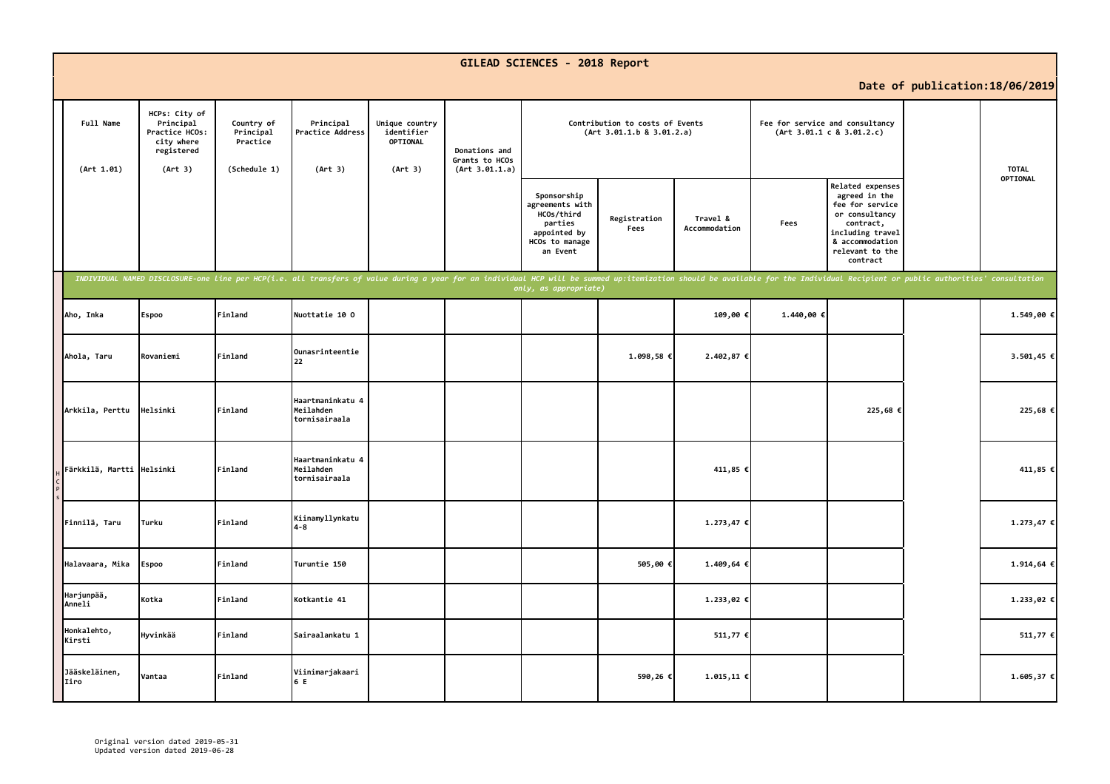|                           |                                                                                     |                                                     |                                                                                                                                                                                                                                |                                                     |                                                   | GILEAD SCIENCES - 2018 Report                                                                         |                                                              |                           |            |                                                                                                                                                           |                                 |              |
|---------------------------|-------------------------------------------------------------------------------------|-----------------------------------------------------|--------------------------------------------------------------------------------------------------------------------------------------------------------------------------------------------------------------------------------|-----------------------------------------------------|---------------------------------------------------|-------------------------------------------------------------------------------------------------------|--------------------------------------------------------------|---------------------------|------------|-----------------------------------------------------------------------------------------------------------------------------------------------------------|---------------------------------|--------------|
|                           |                                                                                     |                                                     |                                                                                                                                                                                                                                |                                                     |                                                   |                                                                                                       |                                                              |                           |            |                                                                                                                                                           | Date of publication: 18/06/2019 |              |
| Full Name<br>(Art 1.01)   | HCPs: City of<br>Principal<br>Practice HCOs:<br>city where<br>registered<br>(Art 3) | Country of<br>Principal<br>Practice<br>(Schedule 1) | Principal<br>Practice Address<br>(Art 3)                                                                                                                                                                                       | Unique country<br>identifier<br>OPTIONAL<br>(Art 3) | Donations and<br>Grants to HCOs<br>(Art 3.01.1.a) |                                                                                                       | Contribution to costs of Events<br>(Art 3.01.1.b 8 3.01.2.a) |                           |            | Fee for service and consultancy<br>(Art 3.01.1 c 8 3.01.2.c)                                                                                              |                                 | <b>TOTAL</b> |
|                           |                                                                                     |                                                     |                                                                                                                                                                                                                                |                                                     |                                                   | Sponsorship<br>agreements with<br>HCOs/third<br>parties<br>appointed by<br>HCOs to manage<br>an Event | Registration<br>Fees                                         | Travel &<br>Accommodation | Fees       | Related expenses<br>agreed in the<br>fee for service<br>or consultancy<br>contract,<br>including travel<br>& accommodation<br>relevant to the<br>contract |                                 | OPTIONAL     |
|                           |                                                                                     |                                                     | INDIVIDUAL NAMED DISCLOSURE-one line per HCP(i.e. all transfers of value during a year for an individual HCP will be summed up:itemization should be available for the Individual Recipient or public authorities' consultatio |                                                     |                                                   | only, as appropriate)                                                                                 |                                                              |                           |            |                                                                                                                                                           |                                 |              |
| Aho, Inka                 | Espoo                                                                               | Finland                                             | Nuottatie 10 0                                                                                                                                                                                                                 |                                                     |                                                   |                                                                                                       |                                                              | 109,00€                   | 1.440,00 € |                                                                                                                                                           |                                 | 1.549,00 €   |
| Ahola, Taru               | Rovaniemi                                                                           | Finland                                             | Ounasrinteentie<br>22                                                                                                                                                                                                          |                                                     |                                                   |                                                                                                       | 1.098,58 €                                                   | 2.402,87 €                |            |                                                                                                                                                           |                                 | 3.501,45 €   |
| Arkkila, Perttu           | Helsinki                                                                            | Finland                                             | Haartmaninkatu 4<br>Meilahden<br>tornisairaala                                                                                                                                                                                 |                                                     |                                                   |                                                                                                       |                                                              |                           |            | 225,68 €                                                                                                                                                  |                                 | 225,68 €     |
| Färkkilä, Martti Helsinki |                                                                                     | Finland                                             | Haartmaninkatu 4<br>Meilahden<br>tornisairaala                                                                                                                                                                                 |                                                     |                                                   |                                                                                                       |                                                              | 411,85 €                  |            |                                                                                                                                                           |                                 | 411,85 €     |
| Finnilä, Taru             | Turku                                                                               | Finland                                             | Kiinamyllynkatu<br>$4 - 8$                                                                                                                                                                                                     |                                                     |                                                   |                                                                                                       |                                                              | 1.273,47 €                |            |                                                                                                                                                           |                                 | 1.273,47 €   |
| Halavaara, Mika           | <b>Espoo</b>                                                                        | Finland                                             | Turuntie 150                                                                                                                                                                                                                   |                                                     |                                                   |                                                                                                       | 505,00€                                                      | 1.409,64 €                |            |                                                                                                                                                           |                                 | 1.914,64 €   |
| Harjunpää,<br>Anneli      | Kotka                                                                               | Finland                                             | Kotkantie 41                                                                                                                                                                                                                   |                                                     |                                                   |                                                                                                       |                                                              | 1.233,02 €                |            |                                                                                                                                                           |                                 | 1.233,02 €   |
| Honkalehto,<br>Kirsti     | Hyvinkää                                                                            | Finland                                             | Sairaalankatu 1                                                                                                                                                                                                                |                                                     |                                                   |                                                                                                       |                                                              | 511,77 €                  |            |                                                                                                                                                           |                                 | 511,77 €     |
| Jääskeläinen,<br>Iiro     | Vantaa                                                                              | Finland                                             | Viinimarjakaari<br>6 E                                                                                                                                                                                                         |                                                     |                                                   |                                                                                                       | 590,26€                                                      | $1.015,11$ €              |            |                                                                                                                                                           |                                 | 1.605,37 €   |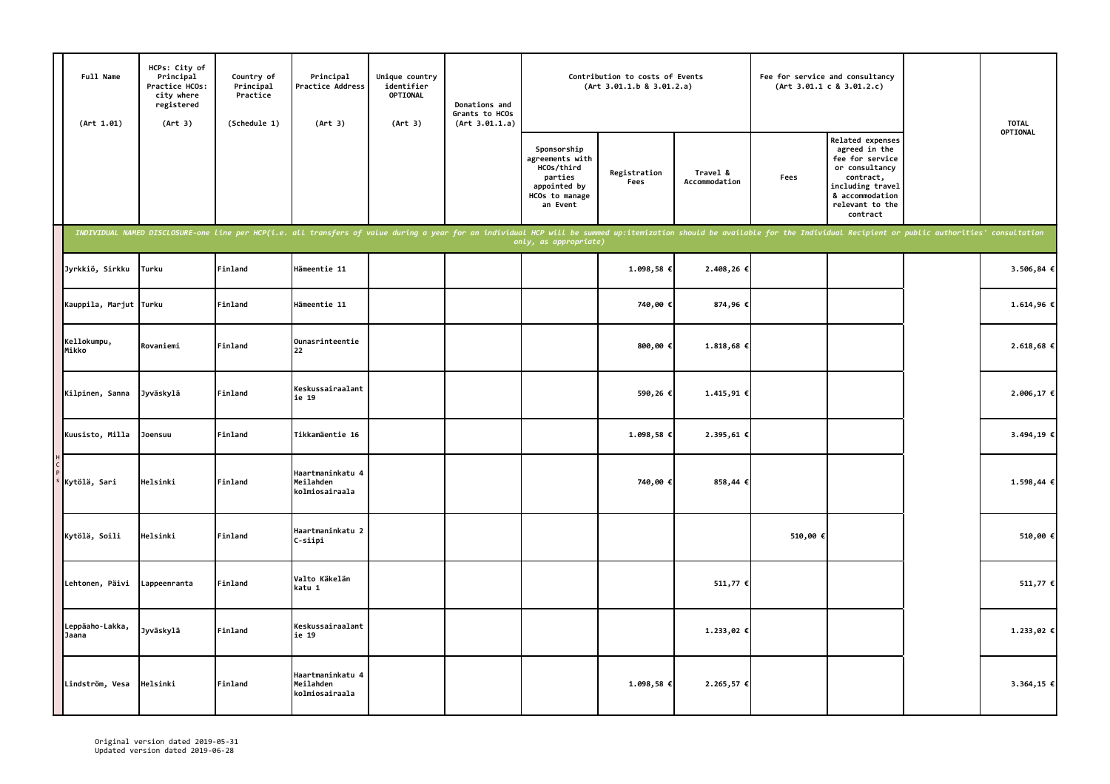| Full Name<br>(Art 1.01)  | HCPs: City of<br>Principal<br>Practice HCOs:<br>city where<br>registered<br>(Art 3) | Country of<br>Principal<br>Practice<br>(Schedule 1) | Principal<br>Practice Address<br>(Art 3)                                                                                                                                                                                       | Unique country<br>identifier<br>OPTIONAL<br>(Art 3) | Donations and<br>Grants to HCOs<br>(Art 3.01.1.a) |                                                                                                       | Contribution to costs of Events<br>(Art 3.01.1.b 8 3.01.2.a) |                           |         | Fee for service and consultancy<br>(Art 3.01.1 c 8 3.01.2.c)                                                                                              | <b>TOTAL</b> |
|--------------------------|-------------------------------------------------------------------------------------|-----------------------------------------------------|--------------------------------------------------------------------------------------------------------------------------------------------------------------------------------------------------------------------------------|-----------------------------------------------------|---------------------------------------------------|-------------------------------------------------------------------------------------------------------|--------------------------------------------------------------|---------------------------|---------|-----------------------------------------------------------------------------------------------------------------------------------------------------------|--------------|
|                          |                                                                                     |                                                     |                                                                                                                                                                                                                                |                                                     |                                                   | Sponsorship<br>agreements with<br>HCOs/third<br>parties<br>appointed by<br>HCOs to manage<br>an Event | Registration<br>Fees                                         | Travel &<br>Accommodation | Fees    | Related expenses<br>agreed in the<br>fee for service<br>or consultancy<br>contract,<br>including travel<br>& accommodation<br>relevant to the<br>contract | OPTIONAL     |
|                          |                                                                                     |                                                     | INDIVIDUAL NAMED DISCLOSURE-one line per HCP(i.e. all transfers of value during a year for an individual HCP will be summed up:itemization should be available for the Individual Recipient or public authorities' consultatio |                                                     |                                                   | only, as appropriate)                                                                                 |                                                              |                           |         |                                                                                                                                                           |              |
| Jyrkkiö, Sirkku          | Turku                                                                               | Finland                                             | Hämeentie 11                                                                                                                                                                                                                   |                                                     |                                                   |                                                                                                       | 1.098,58 €                                                   | 2.408,26€                 |         |                                                                                                                                                           | 3.506,84 €   |
| Kauppila, Marjut Turku   |                                                                                     | Finland                                             | Hämeentie 11                                                                                                                                                                                                                   |                                                     |                                                   |                                                                                                       | 740,00 €                                                     | 874,96€                   |         |                                                                                                                                                           | 1.614,96€    |
| Kellokumpu,<br>Mikko     | Rovaniemi                                                                           | Finland                                             | Ounasrinteentie<br>22                                                                                                                                                                                                          |                                                     |                                                   |                                                                                                       | 800,00€                                                      | 1.818,68 €                |         |                                                                                                                                                           | 2.618,68€    |
| Kilpinen, Sanna          | Jyväskylä                                                                           | Finland                                             | Keskussairaalant<br>ie 19                                                                                                                                                                                                      |                                                     |                                                   |                                                                                                       | 590,26€                                                      | 1.415,91€                 |         |                                                                                                                                                           | 2.006,17 €   |
| Kuusisto, Milla          | Joensuu                                                                             | Finland                                             | Tikkamäentie 16                                                                                                                                                                                                                |                                                     |                                                   |                                                                                                       | 1.098,58 €                                                   | 2.395,61 €                |         |                                                                                                                                                           | 3.494,19€    |
| Kytölä, Sari             | Helsinki                                                                            | Finland                                             | Haartmaninkatu 4<br>Meilahden<br>kolmiosairaala                                                                                                                                                                                |                                                     |                                                   |                                                                                                       | 740,00€                                                      | 858,44 €                  |         |                                                                                                                                                           | 1.598,44€    |
| Kytölä, Soili            | Helsinki                                                                            | Finland                                             | Haartmaninkatu 2<br>C-siipi                                                                                                                                                                                                    |                                                     |                                                   |                                                                                                       |                                                              |                           | 510,00€ |                                                                                                                                                           | 510,00 €     |
| Lehtonen, Päivi          | Lappeenranta                                                                        | Finland                                             | Valto Käkelän<br>katu 1                                                                                                                                                                                                        |                                                     |                                                   |                                                                                                       |                                                              | 511,77 €                  |         |                                                                                                                                                           | 511,77 €     |
| Leppäaho-Lakka,<br>Jaana | Jyväskylä                                                                           | Finland                                             | Keskussairaalant<br>ie 19                                                                                                                                                                                                      |                                                     |                                                   |                                                                                                       |                                                              | 1.233,02 €                |         |                                                                                                                                                           | 1.233,02 €   |
| Lindström, Vesa          | Helsinki                                                                            | Finland                                             | Haartmaninkatu 4<br>Meilahden<br>kolmiosairaala                                                                                                                                                                                |                                                     |                                                   |                                                                                                       | 1.098,58 €                                                   | 2.265,57 €                |         |                                                                                                                                                           | 3.364,15 €   |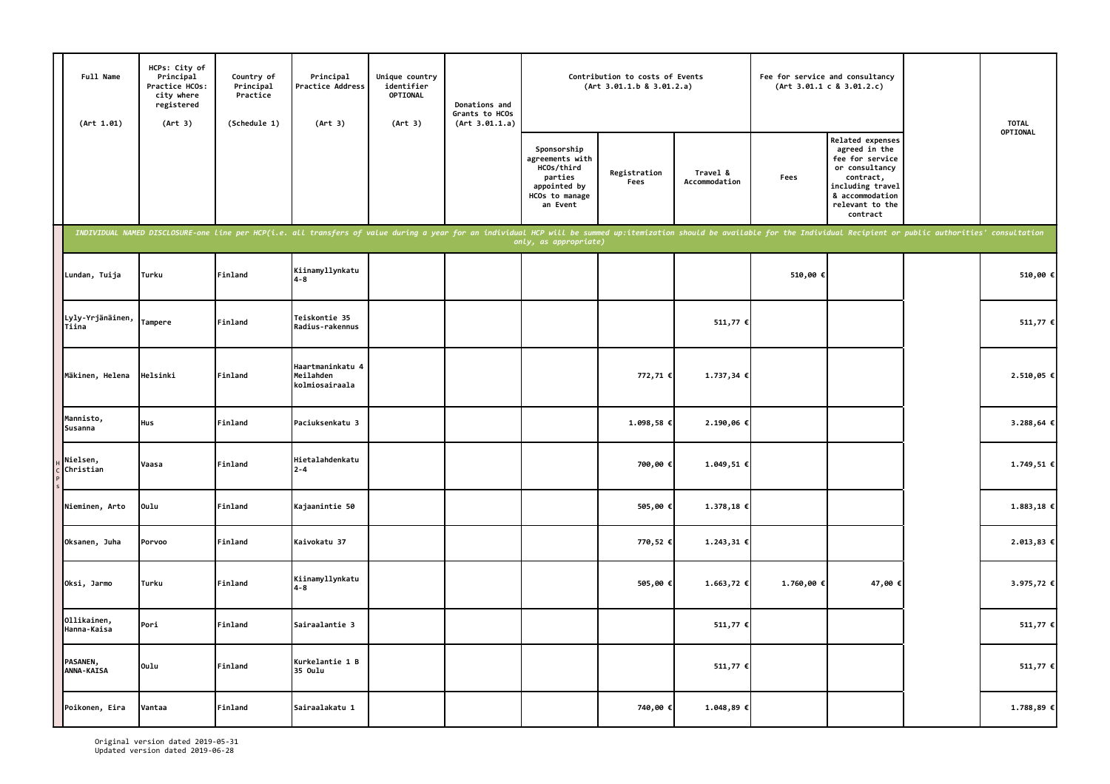| Full Name<br>(Art 1.01)       | HCPs: City of<br>Principal<br>Practice HCOs:<br>city where<br>registered<br>(Art 3) | Country of<br>Principal<br>Practice<br>(Schedule 1) | Principal<br>Practice Address<br>(Art 3)                                                                                                                                                                                       | Unique country<br>identifier<br>OPTIONAL<br>(Art 3) | Donations and<br>Grants to HCOs<br>(Art 3.01.1.a) |                                                                                                       | Contribution to costs of Events<br>(Art 3.01.1.b 8 3.01.2.a) |                           | Fee for service and consultancy | (Art 3.01.1 c 8 3.01.2.c)                                                                                                                                 | <b>TOTAL</b> |
|-------------------------------|-------------------------------------------------------------------------------------|-----------------------------------------------------|--------------------------------------------------------------------------------------------------------------------------------------------------------------------------------------------------------------------------------|-----------------------------------------------------|---------------------------------------------------|-------------------------------------------------------------------------------------------------------|--------------------------------------------------------------|---------------------------|---------------------------------|-----------------------------------------------------------------------------------------------------------------------------------------------------------|--------------|
|                               |                                                                                     |                                                     |                                                                                                                                                                                                                                |                                                     |                                                   | Sponsorship<br>agreements with<br>HCOs/third<br>parties<br>appointed by<br>HCOs to manage<br>an Event | Registration<br>Fees                                         | Travel &<br>Accommodation | Fees                            | Related expenses<br>agreed in the<br>fee for service<br>or consultancy<br>contract,<br>including travel<br>& accommodation<br>relevant to the<br>contract | OPTIONAL     |
|                               |                                                                                     |                                                     | INDIVIDUAL NAMED DISCLOSURE-one line per HCP(i.e. all transfers of value during a year for an individual HCP will be summed up:itemization should be available for the Individual Recipient or public authorities' consultatio |                                                     |                                                   | only, as appropriate)                                                                                 |                                                              |                           |                                 |                                                                                                                                                           |              |
| Lundan, Tuija                 | <b>Turku</b>                                                                        | Finland                                             | Kiinamyllynkatu<br>$4 - 8$                                                                                                                                                                                                     |                                                     |                                                   |                                                                                                       |                                                              |                           | 510,00 €                        |                                                                                                                                                           | 510,00€      |
| Lyly-Yrjänäinen,<br>Tiina     | Tampere                                                                             | Finland                                             | Teiskontie 35<br>Radius-rakennus                                                                                                                                                                                               |                                                     |                                                   |                                                                                                       |                                                              | 511,77 €                  |                                 |                                                                                                                                                           | 511,77 €     |
| Mäkinen, Helena               | Helsinki                                                                            | Finland                                             | Haartmaninkatu 4<br>Meilahden<br>kolmiosairaala                                                                                                                                                                                |                                                     |                                                   |                                                                                                       | 772,71€                                                      | 1.737,34€                 |                                 |                                                                                                                                                           | 2.510,05 €   |
| Mannisto,<br>Susanna          | <b>Hus</b>                                                                          | Finland                                             | Paciuksenkatu 3                                                                                                                                                                                                                |                                                     |                                                   |                                                                                                       | 1.098,58 €                                                   | 2.190,06€                 |                                 |                                                                                                                                                           | 3.288,64 €   |
| Nielsen,<br>Christian         | Vaasa                                                                               | Finland                                             | Hietalahdenkatu<br>$2 - 4$                                                                                                                                                                                                     |                                                     |                                                   |                                                                                                       | 700,00€                                                      | 1.049,51 €                |                                 |                                                                                                                                                           | 1.749,51 €   |
| Nieminen, Arto                | Oulu                                                                                | Finland                                             | Kajaanintie 50                                                                                                                                                                                                                 |                                                     |                                                   |                                                                                                       | 505,00€                                                      | 1.378,18€                 |                                 |                                                                                                                                                           | 1.883,18 €   |
| Oksanen, Juha                 | Porvoo                                                                              | Finland                                             | Kaivokatu 37                                                                                                                                                                                                                   |                                                     |                                                   |                                                                                                       | 770,52€                                                      | 1.243,31€                 |                                 |                                                                                                                                                           | 2.013,83 €   |
| Oksi, Jarmo                   | Turku                                                                               | Finland                                             | Kiinamyllynkatu<br>$4 - 8$                                                                                                                                                                                                     |                                                     |                                                   |                                                                                                       | 505,00€                                                      | 1.663,72 €                | 1.760,00 €                      | 47,00 €                                                                                                                                                   | 3.975,72 €   |
| Ollikainen,<br>Hanna-Kaisa    | Pori                                                                                | Finland                                             | Sairaalantie 3                                                                                                                                                                                                                 |                                                     |                                                   |                                                                                                       |                                                              | 511,77 €                  |                                 |                                                                                                                                                           | 511,77 €     |
| PASANEN,<br><b>ANNA-KAISA</b> | Oulu                                                                                | Finland                                             | Kurkelantie 1 B<br>35 Oulu                                                                                                                                                                                                     |                                                     |                                                   |                                                                                                       |                                                              | 511,77 €                  |                                 |                                                                                                                                                           | 511,77 €     |
| Poikonen, Eira                | Vantaa                                                                              | Finland                                             | Sairaalakatu 1                                                                                                                                                                                                                 |                                                     |                                                   |                                                                                                       | 740,00€                                                      | 1.048,89 €                |                                 |                                                                                                                                                           | 1.788,89 €   |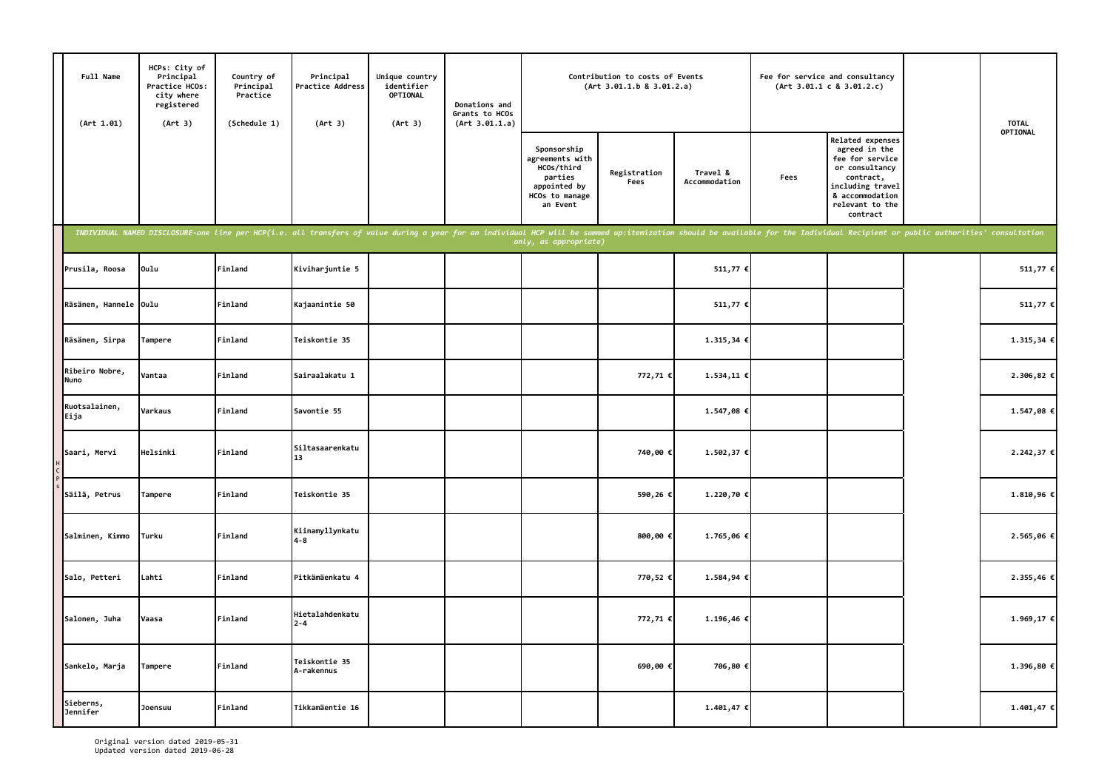| Full Name<br>(Art 1.01) | HCPs: City of<br>Principal<br>Practice HCOs:<br>city where<br>registered<br>(Art 3) | Country of<br>Principal<br>Practice<br>(Schedule 1) | Principal<br>Practice Address<br>(Art 3)                                                                                                                                                                                       | Unique country<br>identifier<br>OPTIONAL<br>(Art 3) | Donations and<br>Grants to HCOs<br>(Art 3.01.1.a) |                                                                                                       | Contribution to costs of Events<br>(Art 3.01.1.b 8 3.01.2.a) |                           |      | Fee for service and consultancy<br>(Art 3.01.1 c 8 3.01.2.c)                                                                                                     | <b>TOTAL</b> |
|-------------------------|-------------------------------------------------------------------------------------|-----------------------------------------------------|--------------------------------------------------------------------------------------------------------------------------------------------------------------------------------------------------------------------------------|-----------------------------------------------------|---------------------------------------------------|-------------------------------------------------------------------------------------------------------|--------------------------------------------------------------|---------------------------|------|------------------------------------------------------------------------------------------------------------------------------------------------------------------|--------------|
|                         |                                                                                     |                                                     |                                                                                                                                                                                                                                |                                                     |                                                   | Sponsorship<br>agreements with<br>HCOs/third<br>parties<br>appointed by<br>HCOs to manage<br>an Event | Registration<br>Fees                                         | Travel &<br>Accommodation | Fees | <b>Related expenses</b><br>agreed in the<br>fee for service<br>or consultancy<br>contract,<br>including travel<br>& accommodation<br>relevant to the<br>contract | OPTIONAL     |
|                         |                                                                                     |                                                     | INDIVIDUAL NAMED DISCLOSURE-one line per HCP(i.e. all transfers of value during a year for an individual HCP will be summed up:itemization should be available for the Individual Recipient or public authorities' consultatio |                                                     |                                                   | only, as appropriate)                                                                                 |                                                              |                           |      |                                                                                                                                                                  |              |
| Prusila, Roosa          | Oulu                                                                                | Finland                                             | Kiviharjuntie 5                                                                                                                                                                                                                |                                                     |                                                   |                                                                                                       |                                                              | 511,77 €                  |      |                                                                                                                                                                  | 511,77 €     |
| Räsänen, Hannele Oulu   |                                                                                     | Finland                                             | Kajaanintie 50                                                                                                                                                                                                                 |                                                     |                                                   |                                                                                                       |                                                              | 511,77 €                  |      |                                                                                                                                                                  | 511,77 €     |
| Räsänen, Sirpa          | Tampere                                                                             | Finland                                             | Teiskontie 35                                                                                                                                                                                                                  |                                                     |                                                   |                                                                                                       |                                                              | 1.315,34€                 |      |                                                                                                                                                                  | 1.315,34 €   |
| Ribeiro Nobre,<br>Nuno  | Vantaa                                                                              | Finland                                             | Sairaalakatu 1                                                                                                                                                                                                                 |                                                     |                                                   |                                                                                                       | 772,71€                                                      | 1.534,11€                 |      |                                                                                                                                                                  | 2.306,82 €   |
| Ruotsalainen,<br>Eija   | Varkaus                                                                             | Finland                                             | Savontie 55                                                                                                                                                                                                                    |                                                     |                                                   |                                                                                                       |                                                              | 1.547,08 €                |      |                                                                                                                                                                  | 1.547,08 €   |
| Saari, Mervi            | Helsinki                                                                            | Finland                                             | Siltasaarenkatu<br>13                                                                                                                                                                                                          |                                                     |                                                   |                                                                                                       | 740,00€                                                      | 1.502,37 €                |      |                                                                                                                                                                  | 2.242,37 €   |
| Säilä, Petrus           | Tampere                                                                             | Finland                                             | Teiskontie 35                                                                                                                                                                                                                  |                                                     |                                                   |                                                                                                       | 590,26€                                                      | 1.220,70 €                |      |                                                                                                                                                                  | 1.810,96€    |
| Salminen, Kimmo         | Turku                                                                               | Finland                                             | Kiinamyllynkatu<br>$4 - 8$                                                                                                                                                                                                     |                                                     |                                                   |                                                                                                       | 800,00€                                                      | 1.765,06€                 |      |                                                                                                                                                                  | 2.565,06 €   |
| Salo, Petteri           | Lahti                                                                               | Finland                                             | Pitkämäenkatu 4                                                                                                                                                                                                                |                                                     |                                                   |                                                                                                       | 770,52€                                                      | 1.584,94€                 |      |                                                                                                                                                                  | 2.355,46 €   |
| Salonen, Juha           | Vaasa                                                                               | Finland                                             | Hietalahdenkatu<br>$2 - 4$                                                                                                                                                                                                     |                                                     |                                                   |                                                                                                       | 772,71€                                                      | 1.196,46€                 |      |                                                                                                                                                                  | 1.969,17 €   |
| Sankelo, Marja          | Tampere                                                                             | Finland                                             | Teiskontie 35<br>A-rakennus                                                                                                                                                                                                    |                                                     |                                                   |                                                                                                       | 690,00€                                                      | 706,80 €                  |      |                                                                                                                                                                  | 1.396,80 €   |
| Sieberns,<br>Jennifer   | Joensuu                                                                             | Finland                                             | Tikkamäentie 16                                                                                                                                                                                                                |                                                     |                                                   |                                                                                                       |                                                              | $1.401,47$ €              |      |                                                                                                                                                                  | $1.401,47$ € |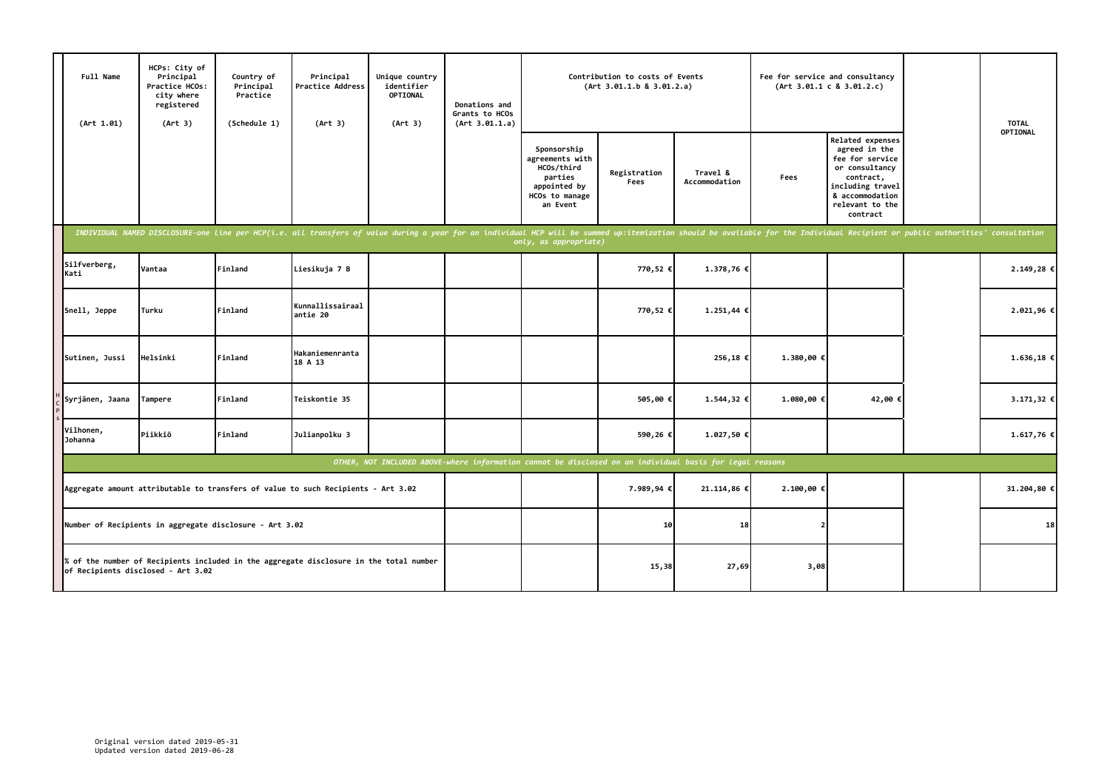| Full Name<br>(Art 1.01) | HCPs: City of<br>Principal<br>Practice HCOs:<br>city where<br>registered<br>(Art 3) | Country of<br>Principal<br>Practice<br>(Schedule 1) | Principal<br>Practice Address<br>(Art 3)                                                                                                                                                                                       | Unique country<br>identifier<br><b>OPTIONAL</b><br>(Art 3) | Donations and<br>Grants to HCOs<br>(Art 3.01.1.a) |                                                                                                          | Contribution to costs of Events<br>(Art 3.01.1.b 8 3.01.2.a) |                           |            | Fee for service and consultancy<br>(Art 3.01.1 c 8 3.01.2.c)                                                                                              | <b>TOTAL</b> |
|-------------------------|-------------------------------------------------------------------------------------|-----------------------------------------------------|--------------------------------------------------------------------------------------------------------------------------------------------------------------------------------------------------------------------------------|------------------------------------------------------------|---------------------------------------------------|----------------------------------------------------------------------------------------------------------|--------------------------------------------------------------|---------------------------|------------|-----------------------------------------------------------------------------------------------------------------------------------------------------------|--------------|
|                         |                                                                                     |                                                     |                                                                                                                                                                                                                                |                                                            |                                                   | Sponsorship<br>agreements with<br>HCOs/third<br>parties<br>appointed by<br>HCOs to manage<br>an Event    | Registration<br>Fees                                         | Travel &<br>Accommodation | Fees       | Related expenses<br>agreed in the<br>fee for service<br>or consultancy<br>contract,<br>including travel<br>& accommodation<br>relevant to the<br>contract | OPTIONAL     |
|                         |                                                                                     |                                                     | INDIVIDUAL NAMED DISCLOSURE-one line per HCP(i.e. all transfers of value during a year for an individual HCP will be summed up:itemization should be available for the Individual Recipient or public authorities' consultatio |                                                            |                                                   | only, as appropriate)                                                                                    |                                                              |                           |            |                                                                                                                                                           |              |
| Silfverberg,<br>Kati    | Vantaa                                                                              | Finland                                             | Liesikuja 7 B                                                                                                                                                                                                                  |                                                            |                                                   |                                                                                                          | 770,52 €                                                     | 1.378,76 €                |            |                                                                                                                                                           | 2.149,28 €   |
| Snell, Jeppe            | Turku                                                                               | Finland                                             | Kunnallissairaal<br>antie 20                                                                                                                                                                                                   |                                                            |                                                   |                                                                                                          | 770,52 €                                                     | 1.251,44 €                |            |                                                                                                                                                           | 2.021,96€    |
| Sutinen, Jussi          | Helsinki                                                                            | Finland                                             | Hakaniemenranta<br>18 A 13                                                                                                                                                                                                     |                                                            |                                                   |                                                                                                          |                                                              | 256,18€                   | 1.380,00 € |                                                                                                                                                           | 1.636,18€    |
| Syrjänen, Jaana         | Tampere                                                                             | Finland                                             | Teiskontie 35                                                                                                                                                                                                                  |                                                            |                                                   |                                                                                                          | 505,00€                                                      | 1.544,32 €                | 1.080,00€  | 42,00€                                                                                                                                                    | 3.171,32 €   |
| Vilhonen,<br>Johanna    | Piikkiö                                                                             | Finland                                             | Julianpolku 3                                                                                                                                                                                                                  |                                                            |                                                   |                                                                                                          | 590,26€                                                      | 1.027,50 €                |            |                                                                                                                                                           | 1.617,76 €   |
|                         |                                                                                     |                                                     |                                                                                                                                                                                                                                |                                                            |                                                   | OTHER, NOT INCLUDED ABOVE-where information cannot be disclosed on an individual basis for legal reasons |                                                              |                           |            |                                                                                                                                                           |              |
|                         |                                                                                     |                                                     | Aggregate amount attributable to transfers of value to such Recipients - Art 3.02                                                                                                                                              |                                                            |                                                   |                                                                                                          | 7.989,94€                                                    | 21.114,86 €               | 2.100,00€  |                                                                                                                                                           | 31.204,80 €  |
|                         | Number of Recipients in aggregate disclosure - Art 3.02                             |                                                     |                                                                                                                                                                                                                                |                                                            |                                                   |                                                                                                          | 10                                                           | 18                        |            |                                                                                                                                                           | 18           |
|                         | of Recipients disclosed - Art 3.02                                                  |                                                     | % of the number of Recipients included in the aggregate disclosure in the total number                                                                                                                                         |                                                            |                                                   |                                                                                                          | 15,38                                                        | 27,69                     | 3,08       |                                                                                                                                                           |              |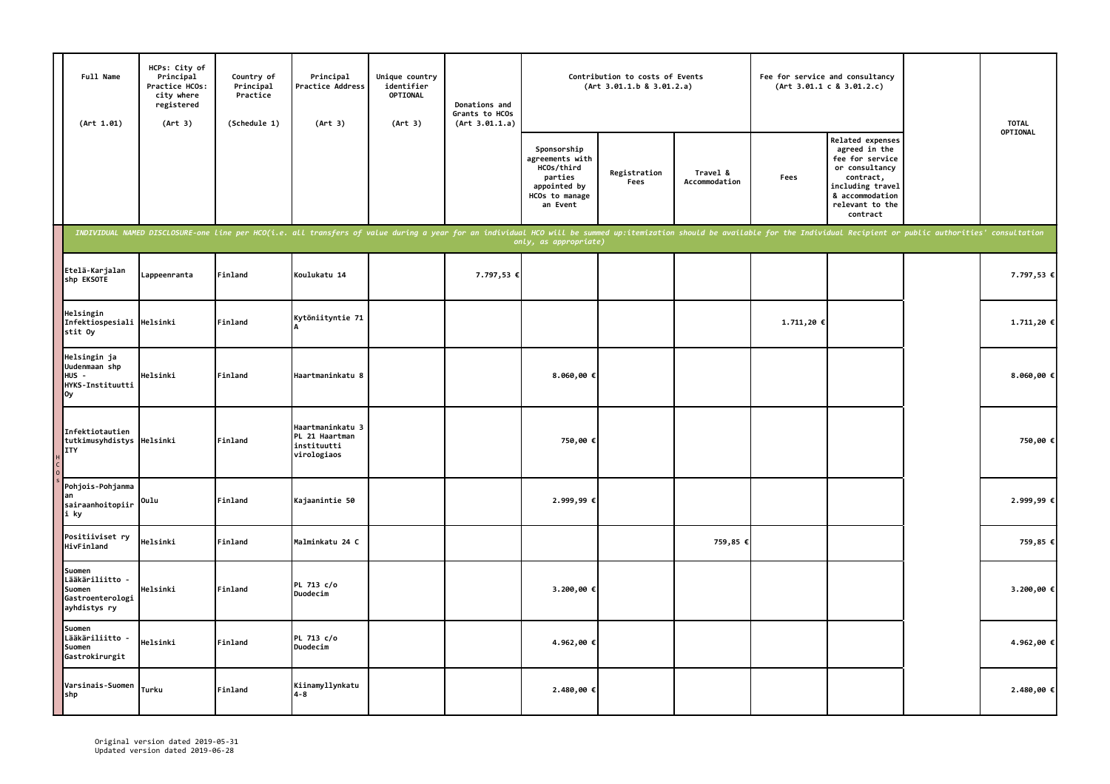| Full Name<br>(Art 1.01)                                                 | HCPs: City of<br>Principal<br>Practice HCOs:<br>city where<br>registered<br>(Art 3) | Country of<br>Principal<br>Practice<br>(Schedule 1) | Principal<br>Practice Address<br>(Art 3)                                                                                                                                                                                       | Unique country<br>identifier<br>OPTIONAL<br>(Art 3) | Donations and<br>Grants to HCOs<br>(Art 3.01.1.a) |                                                                                                       | Contribution to costs of Events<br>(Art 3.01.1.b 8 3.01.2.a) |                           | Fee for service and consultancy | (Art 3.01.1 c 8 3.01.2.c)                                                                                                                                 | <b>TOTAL</b> |
|-------------------------------------------------------------------------|-------------------------------------------------------------------------------------|-----------------------------------------------------|--------------------------------------------------------------------------------------------------------------------------------------------------------------------------------------------------------------------------------|-----------------------------------------------------|---------------------------------------------------|-------------------------------------------------------------------------------------------------------|--------------------------------------------------------------|---------------------------|---------------------------------|-----------------------------------------------------------------------------------------------------------------------------------------------------------|--------------|
|                                                                         |                                                                                     |                                                     |                                                                                                                                                                                                                                |                                                     |                                                   | Sponsorship<br>agreements with<br>HCOs/third<br>parties<br>appointed by<br>HCOs to manage<br>an Event | Registration<br>Fees                                         | Travel &<br>Accommodation | Fees                            | Related expenses<br>agreed in the<br>fee for service<br>or consultancy<br>contract,<br>including travel<br>& accommodation<br>relevant to the<br>contract | OPTIONAL     |
|                                                                         |                                                                                     |                                                     | INDIVIDUAL NAMED DISCLOSURE-one line per HCO(i.e. all transfers of value during a year for an individual HCO will be summed up:itemization should be available for the Individual Recipient or public authorities' consultatio |                                                     |                                                   | only, as appropriate)                                                                                 |                                                              |                           |                                 |                                                                                                                                                           |              |
| Etelä-Karjalan<br>shp EKSOTE                                            | Lappeenranta                                                                        | Finland                                             | Koulukatu 14                                                                                                                                                                                                                   |                                                     | 7.797,53 €                                        |                                                                                                       |                                                              |                           |                                 |                                                                                                                                                           | 7.797,53 €   |
| Helsingin<br>Infektiospesiali Helsinki<br>stit Oy                       |                                                                                     | Finland                                             | Kytöniityntie 71                                                                                                                                                                                                               |                                                     |                                                   |                                                                                                       |                                                              |                           | 1.711,20€                       |                                                                                                                                                           | 1.711,20€    |
| Helsingin ja<br>Uudenmaan shp<br>HUS -<br>HYKS-Instituutti<br>0y        | Helsinki                                                                            | Finland                                             | Haartmaninkatu 8                                                                                                                                                                                                               |                                                     |                                                   | 8.060,00€                                                                                             |                                                              |                           |                                 |                                                                                                                                                           | 8.060,00 €   |
| Infektiotautien<br>tutkimusyhdistys<br><b>ITY</b>                       | Helsinki                                                                            | Finland                                             | Haartmaninkatu 3<br>PL 21 Haartman<br>instituutti<br>virologiaos                                                                                                                                                               |                                                     |                                                   | 750,00€                                                                                               |                                                              |                           |                                 |                                                                                                                                                           | 750,00€      |
| Pohjois-Pohjanma<br>lan<br>sairaanhoitopiir<br>i ky                     | Oulu                                                                                | Finland                                             | Kajaanintie 50                                                                                                                                                                                                                 |                                                     |                                                   | 2.999,99€                                                                                             |                                                              |                           |                                 |                                                                                                                                                           | 2.999,99€    |
| Positiiviset ry<br>HivFinland                                           | Helsinki                                                                            | Finland                                             | Malminkatu 24 C                                                                                                                                                                                                                |                                                     |                                                   |                                                                                                       |                                                              | 759,85 €                  |                                 |                                                                                                                                                           | 759,85 €     |
| Suomen<br>Lääkäriliitto -<br>Suomen<br>Gastroenterologi<br>ayhdistys ry | Helsinki                                                                            | Finland                                             | PL 713 c/o<br>Duodecim                                                                                                                                                                                                         |                                                     |                                                   | 3.200,00 €                                                                                            |                                                              |                           |                                 |                                                                                                                                                           | 3.200,00 €   |
| Suomen<br>Lääkäriliitto<br>Suomen<br>Gastrokirurgit                     | Helsinki                                                                            | Finland                                             | PL 713 c/o<br>Duodecim                                                                                                                                                                                                         |                                                     |                                                   | 4.962,00 €                                                                                            |                                                              |                           |                                 |                                                                                                                                                           | 4.962,00 €   |
| Varsinais-Suomen<br>shp                                                 | Turku                                                                               | Finland                                             | Kiinamyllynkatu<br>$4 - 8$                                                                                                                                                                                                     |                                                     |                                                   | 2.480,00 €                                                                                            |                                                              |                           |                                 |                                                                                                                                                           | 2.480,00 €   |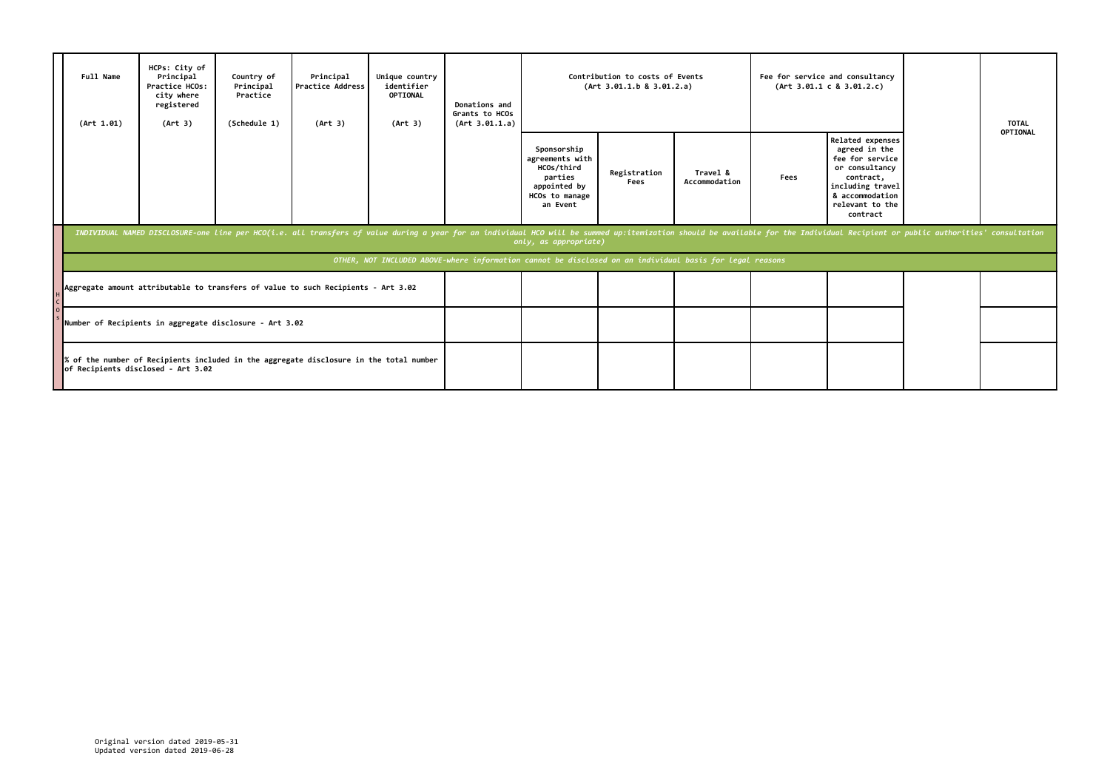| Full Name<br>(Art 1.01)            | HCPs: City of<br>Principal<br>Practice HCOs:<br>city where<br>registered<br>(Art 3) | Country of<br>Principal<br>Practice<br>(Schedule 1) | Principal<br>Practice Address<br>(Art 3)                                                                                                                                                                                       | Unique country<br>identifier<br>OPTIONAL<br>(Art 3) | Donations and<br>Grants to HCOs<br>(Art 3.01.1.a) |                                                                                                          | Contribution to costs of Events<br>(Art 3.01.1.b 8 3.01.2.a) |                           |      | Fee for service and consultancy<br>(Art 3.01.1 c 8 3.01.2.c)                                                                                              | <b>TOTAL</b> |
|------------------------------------|-------------------------------------------------------------------------------------|-----------------------------------------------------|--------------------------------------------------------------------------------------------------------------------------------------------------------------------------------------------------------------------------------|-----------------------------------------------------|---------------------------------------------------|----------------------------------------------------------------------------------------------------------|--------------------------------------------------------------|---------------------------|------|-----------------------------------------------------------------------------------------------------------------------------------------------------------|--------------|
|                                    |                                                                                     |                                                     |                                                                                                                                                                                                                                |                                                     |                                                   | Sponsorship<br>agreements with<br>HCOs/third<br>parties<br>appointed by<br>HCOs to manage<br>an Event    | Registration<br>Fees                                         | Travel &<br>Accommodation | Fees | Related expenses<br>agreed in the<br>fee for service<br>or consultancy<br>contract,<br>including travel<br>& accommodation<br>relevant to the<br>contract | OPTIONAL     |
|                                    |                                                                                     |                                                     | INDIVIDUAL NAMED DISCLOSURE-one line per HCO(i.e. all transfers of value during a year for an individual HCO will be summed up:itemization should be available for the Individual Recipient or public authorities' consultatio |                                                     |                                                   | only, as appropriate)                                                                                    |                                                              |                           |      |                                                                                                                                                           |              |
|                                    |                                                                                     |                                                     |                                                                                                                                                                                                                                |                                                     |                                                   | OTHER, NOT INCLUDED ABOVE-where information cannot be disclosed on an individual basis for legal reasons |                                                              |                           |      |                                                                                                                                                           |              |
|                                    |                                                                                     |                                                     | Aggregate amount attributable to transfers of value to such Recipients - Art 3.02                                                                                                                                              |                                                     |                                                   |                                                                                                          |                                                              |                           |      |                                                                                                                                                           |              |
|                                    | Number of Recipients in aggregate disclosure - Art 3.02                             |                                                     |                                                                                                                                                                                                                                |                                                     |                                                   |                                                                                                          |                                                              |                           |      |                                                                                                                                                           |              |
| of Recipients disclosed - Art 3.02 |                                                                                     |                                                     | $\ $ % of the number of Recipients included in the aggregate disclosure in the total number                                                                                                                                    |                                                     |                                                   |                                                                                                          |                                                              |                           |      |                                                                                                                                                           |              |